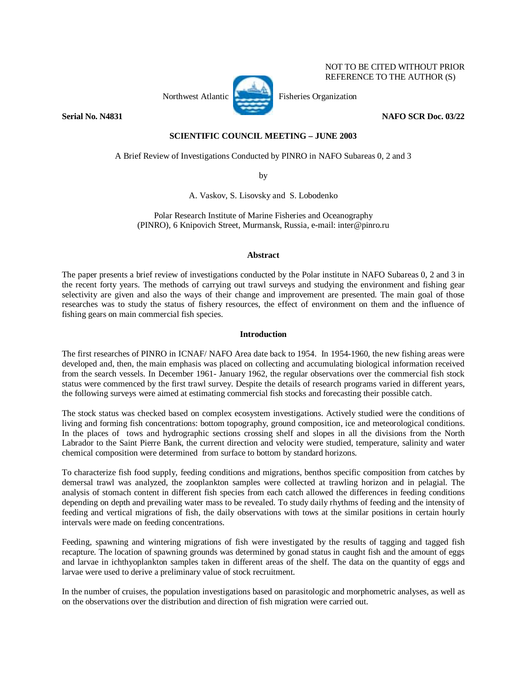

 NOT TO BE CITED WITHOUT PRIOR REFERENCE TO THE AUTHOR (S)

# **Serial No. N4831** NAFO SCR Doc. 03/22

# **SCIENTIFIC COUNCIL MEETING – JUNE 2003**

A Brief Review of Investigations Conducted by PINRO in NAFO Subareas 0, 2 and 3

by

A. Vaskov, S. Lisovsky and S. Lobodenko

Polar Research Institute of Marine Fisheries and Oceanography (PINRO), 6 Knipovich Street, Murmansk, Russia, e-mail: inter@pinro.ru

# **Abstract**

The paper presents a brief review of investigations conducted by the Polar institute in NAFO Subareas 0, 2 and 3 in the recent forty years. The methods of carrying out trawl surveys and studying the environment and fishing gear selectivity are given and also the ways of their change and improvement are presented. The main goal of those researches was to study the status of fishery resources, the effect of environment on them and the influence of fishing gears on main commercial fish species.

# **Introduction**

The first researches of PINRO in ICNAF/ NAFO Area date back to 1954. In 1954-1960, the new fishing areas were developed and, then, the main emphasis was placed on collecting and accumulating biological information received from the search vessels. In December 1961- January 1962, the regular observations over the commercial fish stock status were commenced by the first trawl survey. Despite the details of research programs varied in different years, the following surveys were aimed at estimating commercial fish stocks and forecasting their possible catch.

The stock status was checked based on complex ecosystem investigations. Actively studied were the conditions of living and forming fish concentrations: bottom topography, ground composition, ice and meteorological conditions. In the places of tows and hydrographic sections crossing shelf and slopes in all the divisions from the North Labrador to the Saint Pierre Bank, the current direction and velocity were studied, temperature, salinity and water chemical composition were determined from surface to bottom by standard horizons.

To characterize fish food supply, feeding conditions and migrations, benthos specific composition from catches by demersal trawl was analyzed, the zooplankton samples were collected at trawling horizon and in pelagial. The analysis of stomach content in different fish species from each catch allowed the differences in feeding conditions depending on depth and prevailing water mass to be revealed. To study daily rhythms of feeding and the intensity of feeding and vertical migrations of fish, the daily observations with tows at the similar positions in certain hourly intervals were made on feeding concentrations.

Feeding, spawning and wintering migrations of fish were investigated by the results of tagging and tagged fish recapture. The location of spawning grounds was determined by gonad status in caught fish and the amount of eggs and larvae in ichthyoplankton samples taken in different areas of the shelf. The data on the quantity of eggs and larvae were used to derive a preliminary value of stock recruitment.

In the number of cruises, the population investigations based on parasitologic and morphometric analyses, as well as on the observations over the distribution and direction of fish migration were carried out.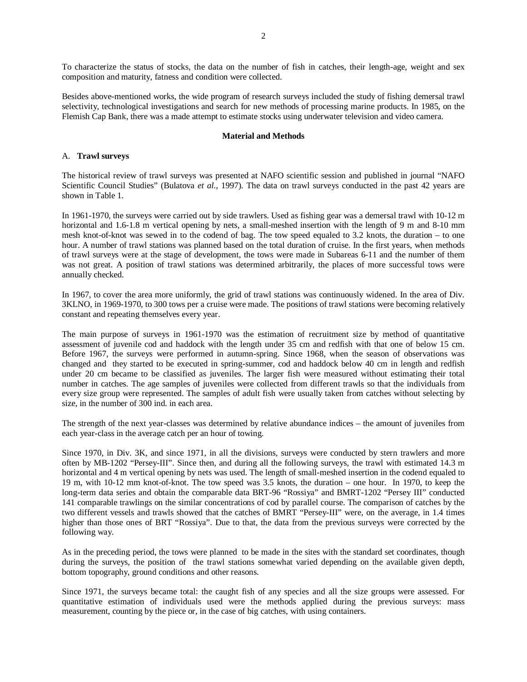To characterize the status of stocks, the data on the number of fish in catches, their length-age, weight and sex composition and maturity, fatness and condition were collected.

Besides above-mentioned works, the wide program of research surveys included the study of fishing demersal trawl selectivity, technological investigations and search for new methods of processing marine products. In 1985, on the Flemish Cap Bank, there was a made attempt to estimate stocks using underwater television and video camera.

#### **Material and Methods**

### A. **Trawl surveys**

The historical review of trawl surveys was presented at NAFO scientific session and published in journal "NAFO Scientific Council Studies" (Bulatova *et al*., 1997). The data on trawl surveys conducted in the past 42 years are shown in Table 1.

In 1961-1970, the surveys were carried out by side trawlers. Used as fishing gear was a demersal trawl with 10-12 m horizontal and 1.6-1.8 m vertical opening by nets, a small-meshed insertion with the length of 9 m and 8-10 mm mesh knot-of-knot was sewed in to the codend of bag. The tow speed equaled to 3.2 knots, the duration – to one hour. A number of trawl stations was planned based on the total duration of cruise. In the first years, when methods of trawl surveys were at the stage of development, the tows were made in Subareas 6-11 and the number of them was not great. A position of trawl stations was determined arbitrarily, the places of more successful tows were annually checked.

In 1967, to cover the area more uniformly, the grid of trawl stations was continuously widened. In the area of Div. 3KLNO, in 1969-1970, to 300 tows per a cruise were made. The positions of trawl stations were becoming relatively constant and repeating themselves every year.

The main purpose of surveys in 1961-1970 was the estimation of recruitment size by method of quantitative assessment of juvenile cod and haddock with the length under 35 cm and redfish with that one of below 15 cm. Before 1967, the surveys were performed in autumn-spring. Since 1968, when the season of observations was changed and they started to be executed in spring-summer, cod and haddock below 40 cm in length and redfish under 20 cm became to be classified as juveniles. The larger fish were measured without estimating their total number in catches. The age samples of juveniles were collected from different trawls so that the individuals from every size group were represented. The samples of adult fish were usually taken from catches without selecting by size, in the number of 300 ind. in each area.

The strength of the next year-classes was determined by relative abundance indices – the amount of juveniles from each year-class in the average catch per an hour of towing.

Since 1970, in Div. 3K, and since 1971, in all the divisions, surveys were conducted by stern trawlers and more often by MB-1202 "Persey-III". Since then, and during all the following surveys, the trawl with estimated 14.3 m horizontal and 4 m vertical opening by nets was used. The length of small-meshed insertion in the codend equaled to 19 m, with 10-12 mm knot-of-knot. The tow speed was 3.5 knots, the duration – one hour. In 1970, to keep the long-term data series and obtain the comparable data BRT-96 "Rossiya" and BMRT-1202 "Persey III" conducted 141 comparable trawlings on the similar concentrations of cod by parallel course. The comparison of catches by the two different vessels and trawls showed that the catches of BMRT "Persey-III" were, on the average, in 1.4 times higher than those ones of BRT "Rossiya". Due to that, the data from the previous surveys were corrected by the following way.

As in the preceding period, the tows were planned to be made in the sites with the standard set coordinates, though during the surveys, the position of the trawl stations somewhat varied depending on the available given depth, bottom topography, ground conditions and other reasons.

Since 1971, the surveys became total: the caught fish of any species and all the size groups were assessed. For quantitative estimation of individuals used were the methods applied during the previous surveys: mass measurement, counting by the piece or, in the case of big catches, with using containers.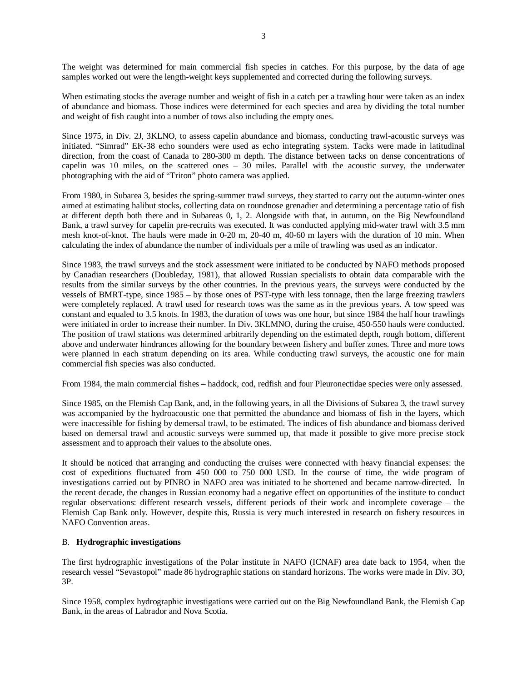The weight was determined for main commercial fish species in catches. For this purpose, by the data of age samples worked out were the length-weight keys supplemented and corrected during the following surveys.

When estimating stocks the average number and weight of fish in a catch per a trawling hour were taken as an index of abundance and biomass. Those indices were determined for each species and area by dividing the total number and weight of fish caught into a number of tows also including the empty ones.

Since 1975, in Div. 2J, 3KLNO, to assess capelin abundance and biomass, conducting trawl-acoustic surveys was initiated. "Simrad" EK-38 echo sounders were used as echo integrating system. Tacks were made in latitudinal direction, from the coast of Canada to 280-300 m depth. The distance between tacks on dense concentrations of capelin was 10 miles, on the scattered ones  $-30$  miles. Parallel with the acoustic survey, the underwater photographing with the aid of "Triton" photo camera was applied.

From 1980, in Subarea 3, besides the spring-summer trawl surveys, they started to carry out the autumn-winter ones aimed at estimating halibut stocks, collecting data on roundnose grenadier and determining a percentage ratio of fish at different depth both there and in Subareas 0, 1, 2. Alongside with that, in autumn, on the Big Newfoundland Bank, a trawl survey for capelin pre-recruits was executed. It was conducted applying mid-water trawl with 3.5 mm mesh knot-of-knot. The hauls were made in 0-20 m, 20-40 m, 40-60 m layers with the duration of 10 min. When calculating the index of abundance the number of individuals per a mile of trawling was used as an indicator.

Since 1983, the trawl surveys and the stock assessment were initiated to be conducted by NAFO methods proposed by Canadian researchers (Doubleday, 1981), that allowed Russian specialists to obtain data comparable with the results from the similar surveys by the other countries. In the previous years, the surveys were conducted by the vessels of BMRT-type, since 1985 – by those ones of PST-type with less tonnage, then the large freezing trawlers were completely replaced. A trawl used for research tows was the same as in the previous years. A tow speed was constant and equaled to 3.5 knots. In 1983, the duration of tows was one hour, but since 1984 the half hour trawlings were initiated in order to increase their number. In Div. 3KLMNO, during the cruise, 450-550 hauls were conducted. The position of trawl stations was determined arbitrarily depending on the estimated depth, rough bottom, different above and underwater hindrances allowing for the boundary between fishery and buffer zones. Three and more tows were planned in each stratum depending on its area. While conducting trawl surveys, the acoustic one for main commercial fish species was also conducted.

From 1984, the main commercial fishes – haddock, cod, redfish and four Pleuronectidae species were only assessed.

Since 1985, on the Flemish Cap Bank, and, in the following years, in all the Divisions of Subarea 3, the trawl survey was accompanied by the hydroacoustic one that permitted the abundance and biomass of fish in the layers, which were inaccessible for fishing by demersal trawl, to be estimated. The indices of fish abundance and biomass derived based on demersal trawl and acoustic surveys were summed up, that made it possible to give more precise stock assessment and to approach their values to the absolute ones.

It should be noticed that arranging and conducting the cruises were connected with heavy financial expenses: the cost of expeditions fluctuated from 450 000 to 750 000 USD. In the course of time, the wide program of investigations carried out by PINRO in NAFO area was initiated to be shortened and became narrow-directed. In the recent decade, the changes in Russian economy had a negative effect on opportunities of the institute to conduct regular observations: different research vessels, different periods of their work and incomplete coverage – the Flemish Cap Bank only. However, despite this, Russia is very much interested in research on fishery resources in NAFO Convention areas.

# B. **Hydrographic investigations**

The first hydrographic investigations of the Polar institute in NAFO (ICNAF) area date back to 1954, when the research vessel "Sevastopol" made 86 hydrographic stations on standard horizons. The works were made in Div. 3O, 3P.

Since 1958, complex hydrographic investigations were carried out on the Big Newfoundland Bank, the Flemish Cap Bank, in the areas of Labrador and Nova Scotia.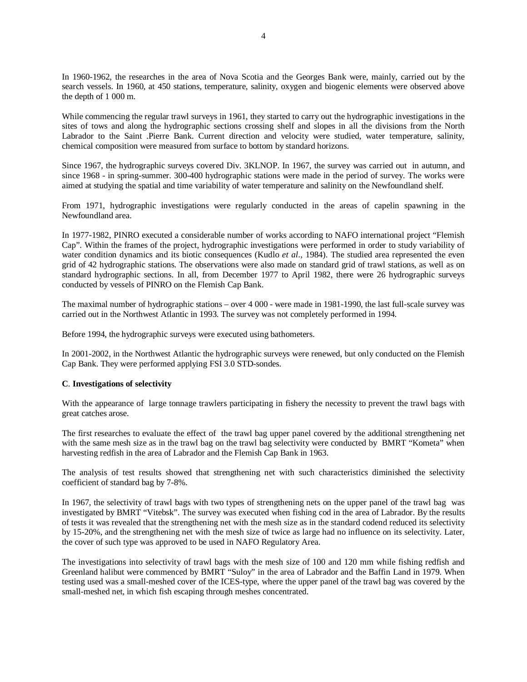In 1960-1962, the researches in the area of Nova Scotia and the Georges Bank were, mainly, carried out by the search vessels. In 1960, at 450 stations, temperature, salinity, oxygen and biogenic elements were observed above the depth of 1 000 m.

While commencing the regular trawl surveys in 1961, they started to carry out the hydrographic investigations in the sites of tows and along the hydrographic sections crossing shelf and slopes in all the divisions from the North Labrador to the Saint .Pierre Bank. Current direction and velocity were studied, water temperature, salinity, chemical composition were measured from surface to bottom by standard horizons.

Since 1967, the hydrographic surveys covered Div. 3KLNOP. In 1967, the survey was carried out in autumn, and since 1968 - in spring-summer. 300-400 hydrographic stations were made in the period of survey. The works were aimed at studying the spatial and time variability of water temperature and salinity on the Newfoundland shelf.

From 1971, hydrographic investigations were regularly conducted in the areas of capelin spawning in the Newfoundland area.

In 1977-1982, PINRO executed a considerable number of works according to NAFO international project "Flemish Cap". Within the frames of the project, hydrographic investigations were performed in order to study variability of water condition dynamics and its biotic consequences (Kudlo *et al*., 1984). The studied area represented the even grid of 42 hydrographic stations. The observations were also made on standard grid of trawl stations, as well as on standard hydrographic sections. In all, from December 1977 to April 1982, there were 26 hydrographic surveys conducted by vessels of PINRO on the Flemish Cap Bank.

The maximal number of hydrographic stations – over 4 000 - were made in 1981-1990, the last full-scale survey was carried out in the Northwest Atlantic in 1993. The survey was not completely performed in 1994.

Before 1994, the hydrographic surveys were executed using bathometers.

In 2001-2002, in the Northwest Atlantic the hydrographic surveys were renewed, but only conducted on the Flemish Cap Bank. They were performed applying FSI 3.0 STD-sondes.

## **C**. **Investigations of selectivity**

With the appearance of large tonnage trawlers participating in fishery the necessity to prevent the trawl bags with great catches arose.

The first researches to evaluate the effect of the trawl bag upper panel covered by the additional strengthening net with the same mesh size as in the trawl bag on the trawl bag selectivity were conducted by BMRT "Kometa" when harvesting redfish in the area of Labrador and the Flemish Cap Bank in 1963.

The analysis of test results showed that strengthening net with such characteristics diminished the selectivity coefficient of standard bag by 7-8%.

In 1967, the selectivity of trawl bags with two types of strengthening nets on the upper panel of the trawl bag was investigated by BMRT "Vitebsk". The survey was executed when fishing cod in the area of Labrador. By the results of tests it was revealed that the strengthening net with the mesh size as in the standard codend reduced its selectivity by 15-20%, and the strengthening net with the mesh size of twice as large had no influence on its selectivity. Later, the cover of such type was approved to be used in NAFO Regulatory Area.

The investigations into selectivity of trawl bags with the mesh size of 100 and 120 mm while fishing redfish and Greenland halibut were commenced by BMRT "Suloy" in the area of Labrador and the Baffin Land in 1979. When testing used was a small-meshed cover of the ICES-type, where the upper panel of the trawl bag was covered by the small-meshed net, in which fish escaping through meshes concentrated.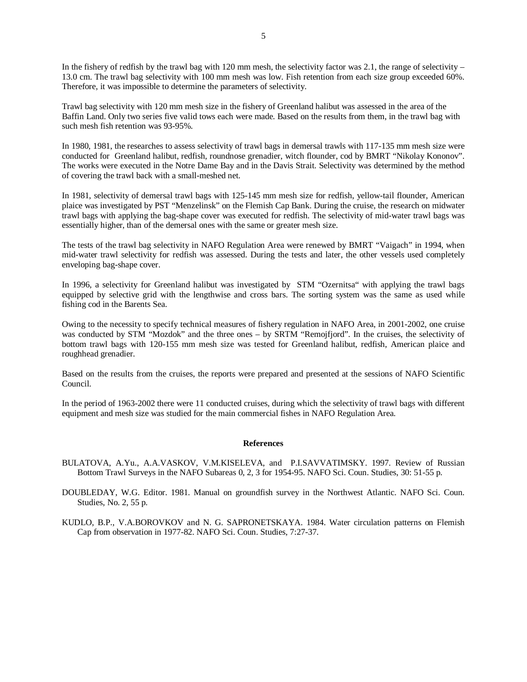In the fishery of redfish by the trawl bag with 120 mm mesh, the selectivity factor was 2.1, the range of selectivity – 13.0 cm. The trawl bag selectivity with 100 mm mesh was low. Fish retention from each size group exceeded 60%. Therefore, it was impossible to determine the parameters of selectivity.

Trawl bag selectivity with 120 mm mesh size in the fishery of Greenland halibut was assessed in the area of the Baffin Land. Only two series five valid tows each were made. Based on the results from them, in the trawl bag with such mesh fish retention was 93-95%.

In 1980, 1981, the researches to assess selectivity of trawl bags in demersal trawls with 117-135 mm mesh size were conducted for Greenland halibut, redfish, roundnose grenadier, witch flounder, cod by BMRT "Nikolay Kononov". The works were executed in the Notre Dame Bay and in the Davis Strait. Selectivity was determined by the method of covering the trawl back with a small-meshed net.

In 1981, selectivity of demersal trawl bags with 125-145 mm mesh size for redfish, yellow-tail flounder, American plaice was investigated by PST "Menzelinsk" on the Flemish Cap Bank. During the cruise, the research on midwater trawl bags with applying the bag-shape cover was executed for redfish. The selectivity of mid-water trawl bags was essentially higher, than of the demersal ones with the same or greater mesh size.

The tests of the trawl bag selectivity in NAFO Regulation Area were renewed by BMRT "Vaigach" in 1994, when mid-water trawl selectivity for redfish was assessed. During the tests and later, the other vessels used completely enveloping bag-shape cover.

In 1996, a selectivity for Greenland halibut was investigated by STM "Ozernitsa" with applying the trawl bags equipped by selective grid with the lengthwise and cross bars. The sorting system was the same as used while fishing cod in the Barents Sea.

Owing to the necessity to specify technical measures of fishery regulation in NAFO Area, in 2001-2002, one cruise was conducted by STM "Mozdok" and the three ones – by SRTM "Remojfjord". In the cruises, the selectivity of bottom trawl bags with 120-155 mm mesh size was tested for Greenland halibut, redfish, American plaice and roughhead grenadier.

Based on the results from the cruises, the reports were prepared and presented at the sessions of NAFO Scientific Council.

In the period of 1963-2002 there were 11 conducted cruises, during which the selectivity of trawl bags with different equipment and mesh size was studied for the main commercial fishes in NAFO Regulation Area.

### **References**

- BULATOVA, A.Yu., A.A.VASKOV, V.M.KISELEVA, and P.I.SAVVATIMSKY. 1997. Review of Russian Bottom Trawl Surveys in the NAFO Subareas 0, 2, 3 for 1954-95. NAFO Sci. Coun. Studies, 30: 51-55 p.
- DOUBLEDAY, W.G. Editor. 1981. Manual on groundfish survey in the Northwest Atlantic. NAFO Sci. Coun. Studies, No. 2, 55 p.
- KUDLO, B.P., V.A.BOROVKOV and N. G. SAPRONETSKAYA. 1984. Water circulation patterns on Flemish Cap from observation in 1977-82. NAFO Sci. Coun. Studies, 7:27-37.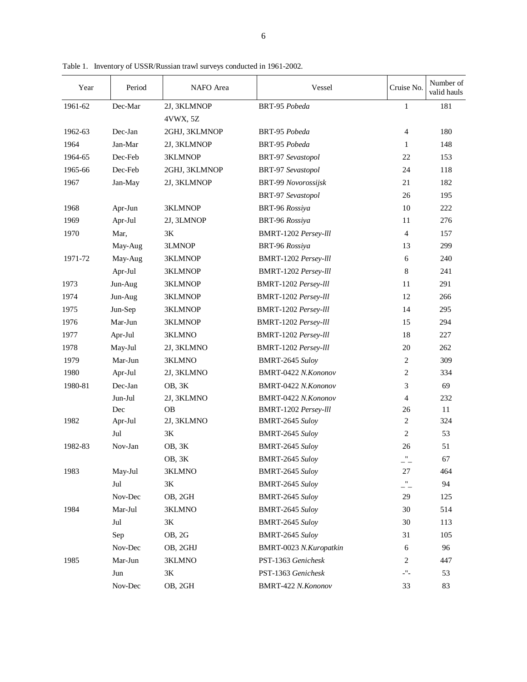| Year    | Period        | NAFO Area      | Vessel                     | Cruise No.                  | Number of<br>valid hauls |
|---------|---------------|----------------|----------------------------|-----------------------------|--------------------------|
| 1961-62 | Dec-Mar       | 2J, 3KLMNOP    | BRT-95 Pobeda              | $\mathbf{1}$                | 181                      |
|         |               | 4VWX, 5Z       |                            |                             |                          |
| 1962-63 | Dec-Jan       | 2GHJ, 3KLMNOP  | BRT-95 Pobeda              | $\overline{4}$              | 180                      |
| 1964    | Jan-Mar       | 2J, 3KLMNOP    | BRT-95 Pobeda              | $\mathbf{1}$                | 148                      |
| 1964-65 | Dec-Feb       | <b>3KLMNOP</b> | BRT-97 Sevastopol          | 22                          | 153                      |
| 1965-66 | Dec-Feb       | 2GHJ, 3KLMNOP  | BRT-97 Sevastopol          | 24                          | 118                      |
| 1967    | Jan-May       | 2J, 3KLMNOP    | <b>BRT-99 Novorossijsk</b> | 21                          | 182                      |
|         |               |                | BRT-97 Sevastopol          | 26                          | 195                      |
| 1968    | Apr-Jun       | 3KLMNOP        | BRT-96 Rossiya             | 10                          | 222                      |
| 1969    | Apr-Jul       | 2J, 3LMNOP     | BRT-96 Rossiya             | 11                          | 276                      |
| 1970    | Mar,          | 3K             | BMRT-1202 Persey-lll       | $\overline{4}$              | 157                      |
|         | May-Aug       | 3LMNOP         | BRT-96 Rossiya             | 13                          | 299                      |
| 1971-72 | May-Aug       | 3KLMNOP        | BMRT-1202 Persey-lll       | 6                           | 240                      |
|         | Apr-Jul       | 3KLMNOP        | BMRT-1202 Persey-lll       | $\,8\,$                     | 241                      |
| 1973    | Jun-Aug       | <b>3KLMNOP</b> | BMRT-1202 Persey-lll       | 11                          | 291                      |
| 1974    | Jun-Aug       | <b>3KLMNOP</b> | BMRT-1202 Persey-lll       | 12                          | 266                      |
| 1975    | Jun-Sep       | <b>3KLMNOP</b> | BMRT-1202 Persey-lll       | 14                          | 295                      |
| 1976    | Mar-Jun       | 3KLMNOP        | BMRT-1202 Persey-lll       | 15                          | 294                      |
| 1977    | Apr-Jul       | 3KLMNO         | BMRT-1202 Persey-lll       | 18                          | 227                      |
| 1978    | May-Jul       | 2J, 3KLMNO     | BMRT-1202 Persey-lll       | 20                          | 262                      |
| 1979    | Mar-Jun       | 3KLMNO         | BMRT-2645 Suloy            | 2                           | 309                      |
| 1980    | Apr-Jul       | 2J, 3KLMNO     | BMRT-0422 N.Kononov        | 2                           | 334                      |
| 1980-81 | Dec-Jan       | OB, 3K         | BMRT-0422 N.Kononov        | 3                           | 69                       |
|         | Jun-Jul       | 2J, 3KLMNO     | BMRT-0422 N.Kononov        | $\overline{4}$              | 232                      |
|         | Dec           | <b>OB</b>      | BMRT-1202 Persey-lll       | 26                          | 11                       |
| 1982    | Apr-Jul       | 2J, 3KLMNO     | BMRT-2645 Suloy            | 2                           | 324                      |
|         | Jul           | 3K             | BMRT-2645 Suloy            | $\overline{2}$              | 53                       |
| 1982-83 | Nov-Jan       | OB, 3K         | BMRT-2645 Suloy            | 26                          | 51                       |
|         |               | OB, 3K         | BMRT-2645 Suloy            | 11                          | 67                       |
| 1983    | May-Jul       | 3KLMNO         | BMRT-2645 Suloy            | 27                          | 464                      |
|         | Jul           | 3K             | BMRT-2645 Suloy            | $\mathbf{L}^{\prime\prime}$ | 94                       |
|         | Nov-Dec       | OB, 2GH        | BMRT-2645 Suloy            | 29                          | 125                      |
| 1984    | Mar-Jul       | 3KLMNO         | BMRT-2645 Suloy            | 30                          | 514                      |
|         | $_{\rm{Jul}}$ | $3\mathrm{K}$  | BMRT-2645 Suloy            | 30                          | 113                      |
|         | Sep           | OB, 2G         | BMRT-2645 Suloy            | 31                          | 105                      |
|         | Nov-Dec       | OB, 2GHJ       | BMRT-0023 N.Kuropatkin     | 6                           | 96                       |
| 1985    | Mar-Jun       | 3KLMNO         | PST-1363 Genichesk         | 2                           | 447                      |
|         | Jun           | 3K             | PST-1363 Genichesk         | $\mathbb{L}^0\mathbb{L}$    | 53                       |
|         | Nov-Dec       | OB, 2GH        | BMRT-422 N.Kononov         | 33                          | 83                       |

Table 1. Inventory of USSR/Russian trawl surveys conducted in 1961-2002.